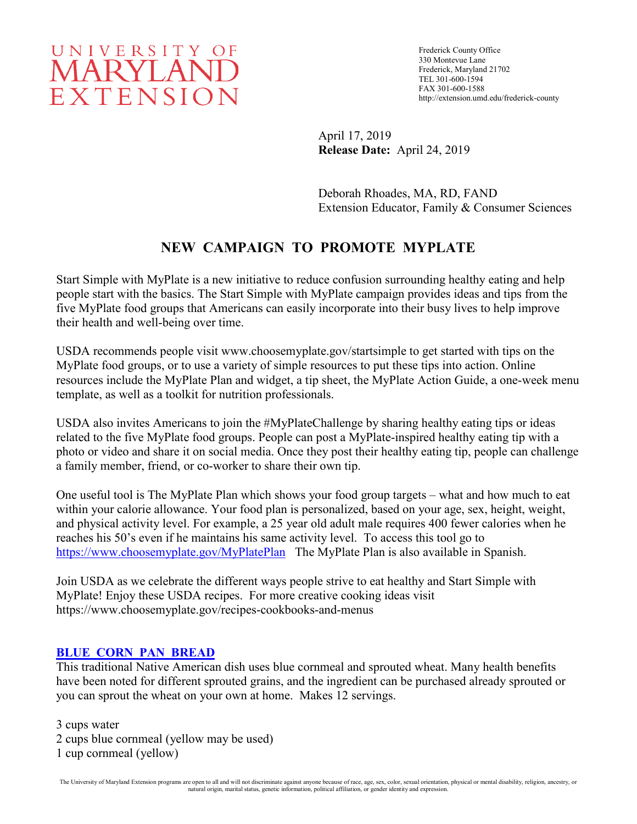# UNIVERSITY OF **MARYLAND** EXTENSION

Frederick County Office 330 Montevue Lane Frederick, Maryland 21702 TEL 301-600-1594 FAX 301-600-1588 http://extension.umd.edu/frederick-county

April 17, 2019 **Release Date:** April 24, 2019

Deborah Rhoades, MA, RD, FAND Extension Educator, Family & Consumer Sciences

## **NEW CAMPAIGN TO PROMOTE MYPLATE**

Start Simple with MyPlate is a new initiative to reduce confusion surrounding healthy eating and help people start with the basics. The Start Simple with MyPlate campaign provides ideas and tips from the five MyPlate food groups that Americans can easily incorporate into their busy lives to help improve their health and well-being over time.

USDA recommends people visit www.choosemyplate.gov/startsimple to get started with tips on the MyPlate food groups, or to use a variety of simple resources to put these tips into action. Online resources include the MyPlate Plan and widget, a tip sheet, the MyPlate Action Guide, a one-week menu template, as well as a toolkit for nutrition professionals.

USDA also invites Americans to join the #MyPlateChallenge by sharing healthy eating tips or ideas related to the five MyPlate food groups. People can post a MyPlate-inspired healthy eating tip with a photo or video and share it on social media. Once they post their healthy eating tip, people can challenge a family member, friend, or co-worker to share their own tip.

One useful tool is The MyPlate Plan which shows your food group targets – what and how much to eat within your calorie allowance. Your food plan is personalized, based on your age, sex, height, weight, and physical activity level. For example, a 25 year old adult male requires 400 fewer calories when he reaches his 50's even if he maintains his same activity level. To access this tool go to <https://www.choosemyplate.gov/MyPlatePlan>The MyPlate Plan is also available in Spanish.

Join USDA as we celebrate the different ways people strive to eat healthy and Start Simple with MyPlate! Enjoy these USDA recipes. For more creative cooking ideas visit https://www.choosemyplate.gov/recipes-cookbooks-and-menus

### **BLUE CORN [PAN BREAD](https://whatscooking.fns.usda.gov/recipes/supplemental-nutrition-assistance-program-snap/blue-corn-pan-bread)**

This traditional Native American dish uses blue cornmeal and sprouted wheat. Many health benefits have been noted for different sprouted grains, and the ingredient can be purchased already sprouted or you can sprout the wheat on your own at home. Makes 12 servings.

3 cups water

2 cups blue cornmeal (yellow may be used)

1 cup cornmeal (yellow)